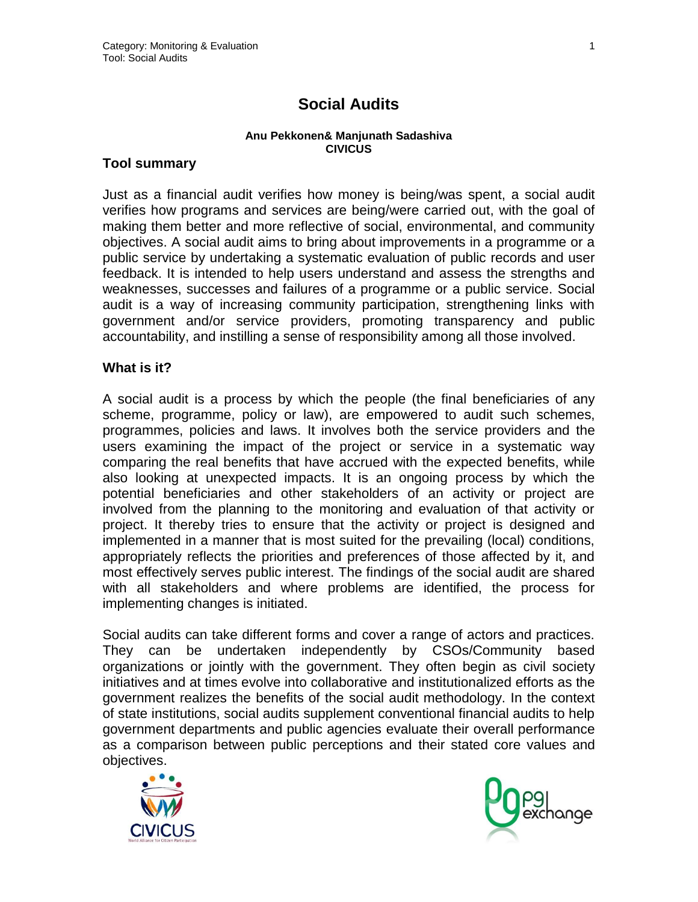# **Social Audits**

#### **Anu Pekkonen& Manjunath Sadashiva CIVICUS**

#### **Tool summary**

Just as a financial audit verifies how money is being/was spent, a social audit verifies how programs and services are being/were carried out, with the goal of making them better and more reflective of social, environmental, and community objectives. A social audit aims to bring about improvements in a programme or a public service by undertaking a systematic evaluation of public records and user feedback. It is intended to help users understand and assess the strengths and weaknesses, successes and failures of a programme or a public service. Social audit is a way of increasing community participation, strengthening links with government and/or service providers, promoting transparency and public accountability, and instilling a sense of responsibility among all those involved.

#### **What is it?**

A social audit is a process by which the people (the final beneficiaries of any scheme, programme, policy or law), are empowered to audit such schemes, programmes, policies and laws. It involves both the service providers and the users examining the impact of the project or service in a systematic way comparing the real benefits that have accrued with the expected benefits, while also looking at unexpected impacts. It is an ongoing process by which the potential beneficiaries and other stakeholders of an activity or project are involved from the planning to the monitoring and evaluation of that activity or project. It thereby tries to ensure that the activity or project is designed and implemented in a manner that is most suited for the prevailing (local) conditions, appropriately reflects the priorities and preferences of those affected by it, and most effectively serves public interest. The findings of the social audit are shared with all stakeholders and where problems are identified, the process for implementing changes is initiated.

Social audits can take different forms and cover a range of actors and practices. They can be undertaken independently by CSOs/Community based organizations or jointly with the government. They often begin as civil society initiatives and at times evolve into collaborative and institutionalized efforts as the government realizes the benefits of the social audit methodology. In the context of state institutions, social audits supplement conventional financial audits to help government departments and public agencies evaluate their overall performance as a comparison between public perceptions and their stated core values and objectives.



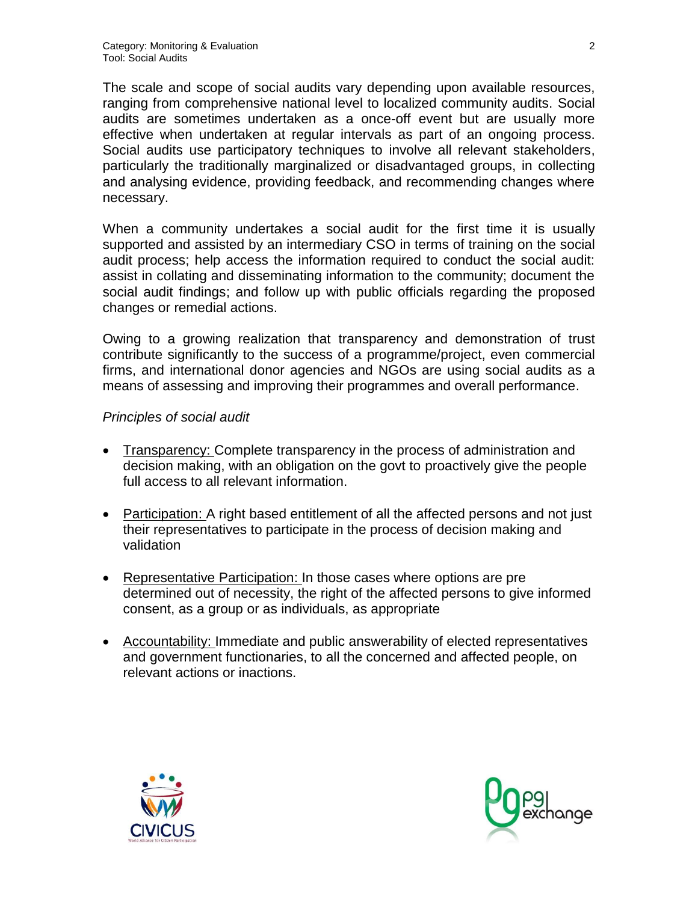The scale and scope of social audits vary depending upon available resources, ranging from comprehensive national level to localized community audits. Social audits are sometimes undertaken as a once-off event but are usually more effective when undertaken at regular intervals as part of an ongoing process. Social audits use participatory techniques to involve all relevant stakeholders, particularly the traditionally marginalized or disadvantaged groups, in collecting and analysing evidence, providing feedback, and recommending changes where necessary.

When a community undertakes a social audit for the first time it is usually supported and assisted by an intermediary CSO in terms of training on the social audit process; help access the information required to conduct the social audit: assist in collating and disseminating information to the community; document the social audit findings; and follow up with public officials regarding the proposed changes or remedial actions.

Owing to a growing realization that transparency and demonstration of trust contribute significantly to the success of a programme/project, even commercial firms, and international donor agencies and NGOs are using social audits as a means of assessing and improving their programmes and overall performance.

#### *Principles of social audit*

- Transparency: Complete transparency in the process of administration and decision making, with an obligation on the govt to proactively give the people full access to all relevant information.
- Participation: A right based entitlement of all the affected persons and not just their representatives to participate in the process of decision making and validation
- Representative Participation: In those cases where options are pre determined out of necessity, the right of the affected persons to give informed consent, as a group or as individuals, as appropriate
- Accountability: Immediate and public answerability of elected representatives and government functionaries, to all the concerned and affected people, on relevant actions or inactions.



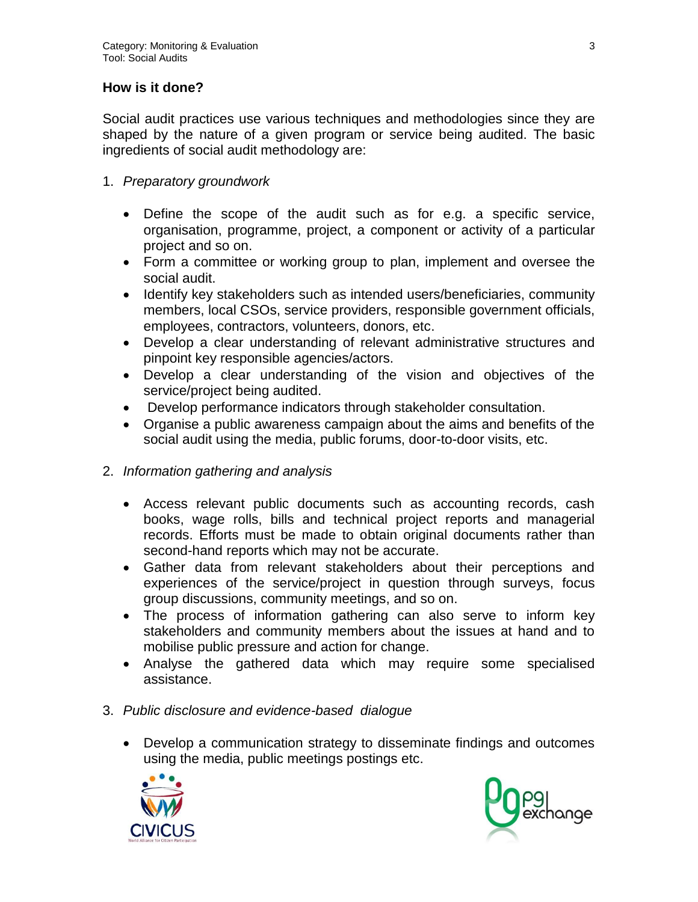### **How is it done?**

Social audit practices use various techniques and methodologies since they are shaped by the nature of a given program or service being audited. The basic ingredients of social audit methodology are:

- 1. *Preparatory groundwork*
	- Define the scope of the audit such as for e.g. a specific service, organisation, programme, project, a component or activity of a particular project and so on.
	- Form a committee or working group to plan, implement and oversee the social audit.
	- Identify key stakeholders such as intended users/beneficiaries, community members, local CSOs, service providers, responsible government officials, employees, contractors, volunteers, donors, etc.
	- Develop a clear understanding of relevant administrative structures and pinpoint key responsible agencies/actors.
	- Develop a clear understanding of the vision and objectives of the service/project being audited.
	- Develop performance indicators through stakeholder consultation.
	- Organise a public awareness campaign about the aims and benefits of the social audit using the media, public forums, door-to-door visits, etc.
- 2. *Information gathering and analysis*
	- Access relevant public documents such as accounting records, cash books, wage rolls, bills and technical project reports and managerial records. Efforts must be made to obtain original documents rather than second-hand reports which may not be accurate.
	- Gather data from relevant stakeholders about their perceptions and experiences of the service/project in question through surveys, focus group discussions, community meetings, and so on.
	- The process of information gathering can also serve to inform key stakeholders and community members about the issues at hand and to mobilise public pressure and action for change.
	- Analyse the gathered data which may require some specialised assistance.
- 3. *Public disclosure and evidence-based dialogue*
	- Develop a communication strategy to disseminate findings and outcomes using the media, public meetings postings etc.



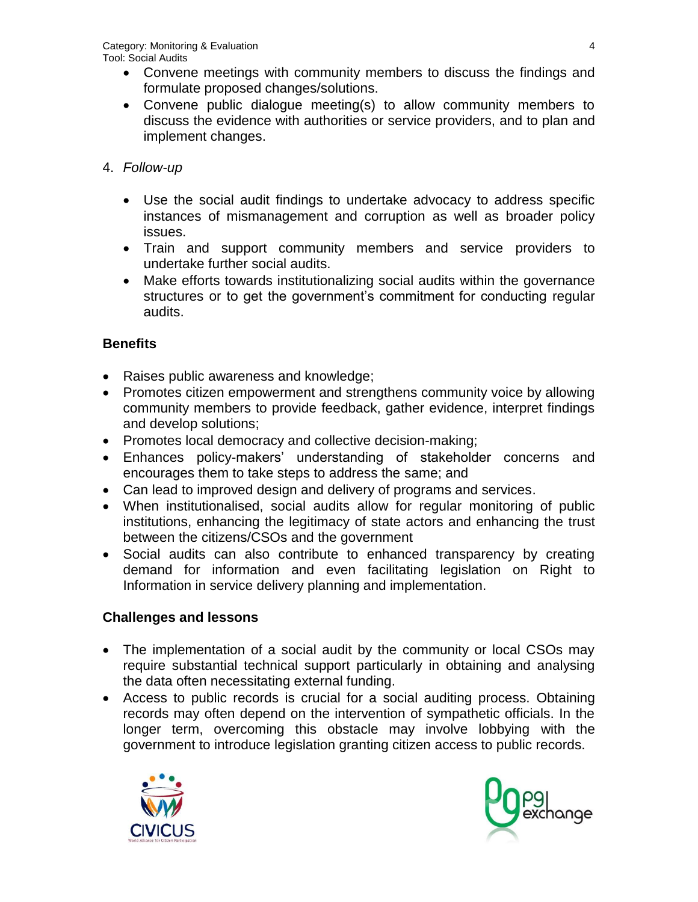- Convene meetings with community members to discuss the findings and formulate proposed changes/solutions.
- Convene public dialogue meeting(s) to allow community members to discuss the evidence with authorities or service providers, and to plan and implement changes.

### 4. *Follow-up*

- Use the social audit findings to undertake advocacy to address specific instances of mismanagement and corruption as well as broader policy issues.
- Train and support community members and service providers to undertake further social audits.
- Make efforts towards institutionalizing social audits within the governance structures or to get the government's commitment for conducting regular audits.

### **Benefits**

- Raises public awareness and knowledge;
- Promotes citizen empowerment and strengthens community voice by allowing community members to provide feedback, gather evidence, interpret findings and develop solutions;
- Promotes local democracy and collective decision-making;
- Enhances policy-makers' understanding of stakeholder concerns and encourages them to take steps to address the same; and
- Can lead to improved design and delivery of programs and services.
- When institutionalised, social audits allow for regular monitoring of public institutions, enhancing the legitimacy of state actors and enhancing the trust between the citizens/CSOs and the government
- Social audits can also contribute to enhanced transparency by creating demand for information and even facilitating legislation on Right to Information in service delivery planning and implementation.

## **Challenges and lessons**

- The implementation of a social audit by the community or local CSOs may require substantial technical support particularly in obtaining and analysing the data often necessitating external funding.
- Access to public records is crucial for a social auditing process. Obtaining records may often depend on the intervention of sympathetic officials. In the longer term, overcoming this obstacle may involve lobbying with the government to introduce legislation granting citizen access to public records.



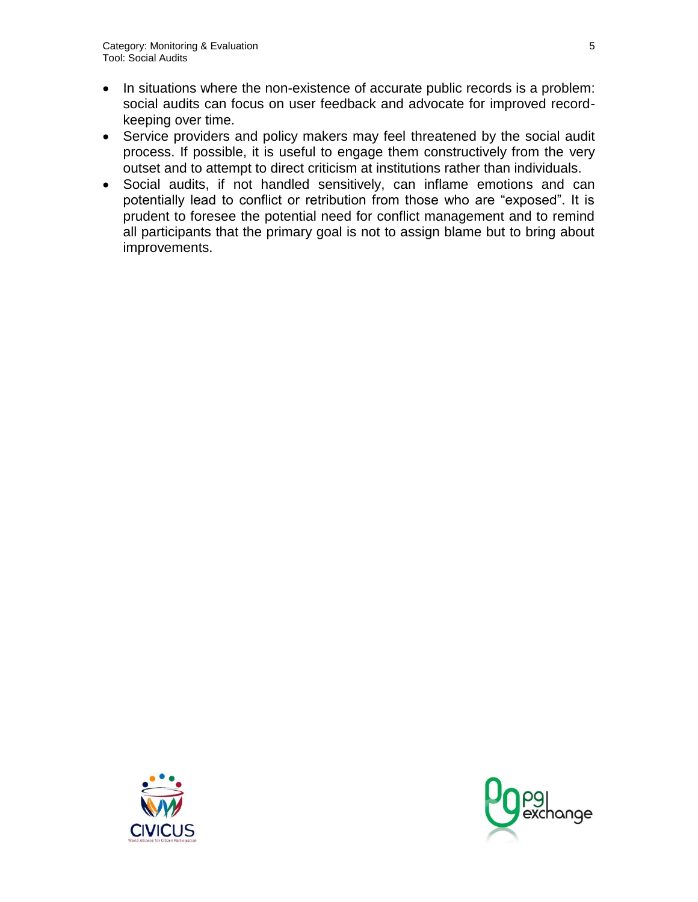- In situations where the non-existence of accurate public records is a problem: social audits can focus on user feedback and advocate for improved recordkeeping over time.
- Service providers and policy makers may feel threatened by the social audit process. If possible, it is useful to engage them constructively from the very outset and to attempt to direct criticism at institutions rather than individuals.
- Social audits, if not handled sensitively, can inflame emotions and can potentially lead to conflict or retribution from those who are "exposed". It is prudent to foresee the potential need for conflict management and to remind all participants that the primary goal is not to assign blame but to bring about improvements.



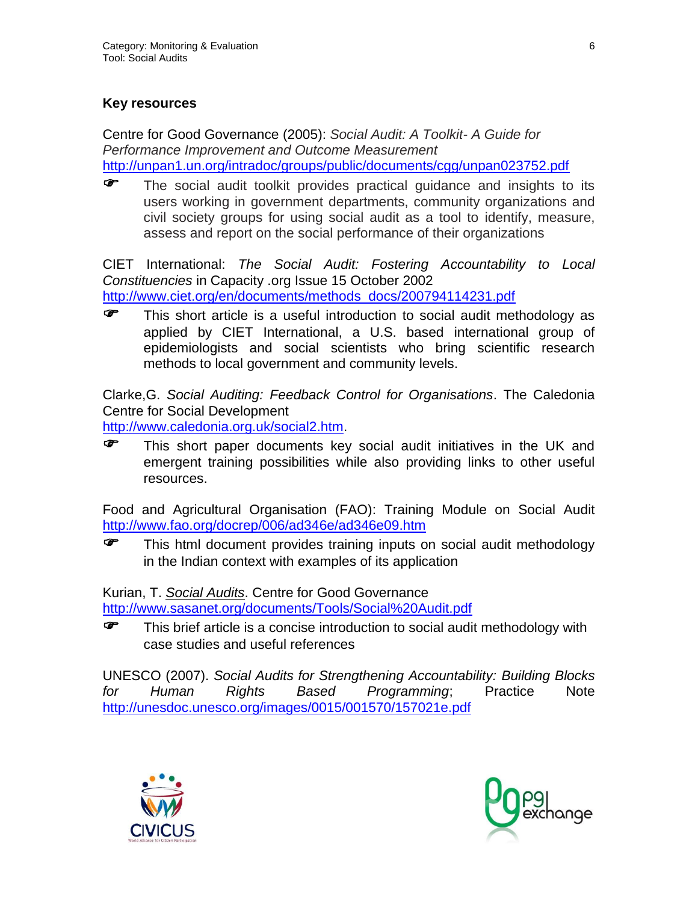### **Key resources**

Centre for Good Governance (2005): *Social Audit: A Toolkit- A Guide for Performance Improvement and Outcome Measurement* <http://unpan1.un.org/intradoc/groups/public/documents/cgg/unpan023752.pdf>

The social audit toolkit provides practical guidance and insights to its users working in government departments, community organizations and civil society groups for using social audit as a tool to identify, measure, assess and report on the social performance of their organizations

CIET International: *The Social Audit: Fostering Accountability to Local Constituencies* in Capacity .org Issue 15 October 2002 [http://www.ciet.org/en/documents/methods\\_docs/200794114231.pdf](http://www.ciet.org/en/documents/methods_docs/200794114231.pdf)

This short article is a useful introduction to social audit methodology as applied by CIET International, a U.S. based international group of epidemiologists and social scientists who bring scientific research methods to local government and community levels.

Clarke,G. *Social Auditing: Feedback Control for Organisations*. The Caledonia Centre for Social Development

[http://www.caledonia.org.uk/social2.htm.](http://www.caledonia.org.uk/social2.htm)

**F** This short paper documents key social audit initiatives in the UK and emergent training possibilities while also providing links to other useful resources.

Food and Agricultural Organisation (FAO): Training Module on Social Audit <http://www.fao.org/docrep/006/ad346e/ad346e09.htm>

**F** This html document provides training inputs on social audit methodology in the Indian context with examples of its application

Kurian, T. *Social Audits*. Centre for Good Governance <http://www.sasanet.org/documents/Tools/Social%20Audit.pdf>

This brief article is a concise introduction to social audit methodology with case studies and useful references

UNESCO (2007). *Social Audits for Strengthening Accountability: Building Blocks for Human Rights Based Programming*; Practice Note <http://unesdoc.unesco.org/images/0015/001570/157021e.pdf>



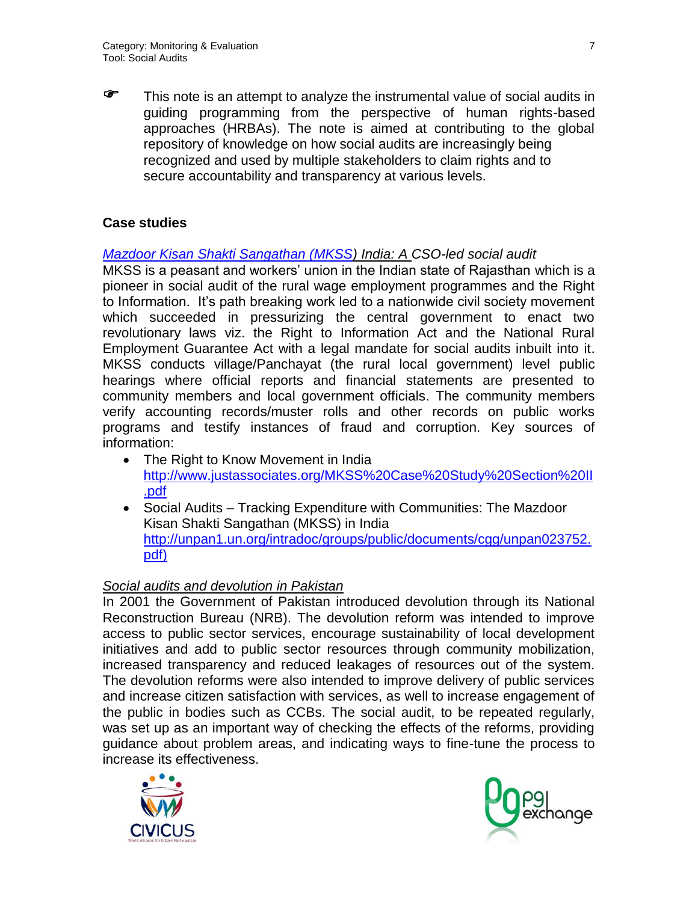This note is an attempt to analyze the instrumental value of social audits in guiding programming from the perspective of human rights-based approaches (HRBAs). The note is aimed at contributing to the global repository of knowledge on how social audits are increasingly being recognized and used by multiple stakeholders to claim rights and to secure accountability and transparency at various levels.

### **Case studies**

### *[Mazdoor Kisan Shakti Sangathan \(MKSS\)](http://www.mkssindia.org/)) India: A CSO-led social audit*

MKSS is a peasant and workers' union in the Indian state of Rajasthan which is a pioneer in social audit of the rural wage employment programmes and the Right to Information. It's path breaking work led to a nationwide civil society movement which succeeded in pressurizing the central government to enact two revolutionary laws viz. the Right to Information Act and the National Rural Employment Guarantee Act with a legal mandate for social audits inbuilt into it. MKSS conducts village/Panchayat (the rural local government) level public hearings where official reports and financial statements are presented to community members and local government officials. The community members verify accounting records/muster rolls and other records on public works programs and testify instances of fraud and corruption. Key sources of information:

- The Right to Know Movement in India [http://www.justassociates.org/MKSS%20Case%20Study%20Section%20II](http://www.justassociates.org/MKSS%20Case%20Study%20Section%20II.pdf) [.pdf](http://www.justassociates.org/MKSS%20Case%20Study%20Section%20II.pdf)
- Social Audits Tracking Expenditure with Communities: The Mazdoor Kisan Shakti Sangathan (MKSS) in India [http://unpan1.un.org/intradoc/groups/public/documents/cgg/unpan023752.](http://unpan1.un.org/intradoc/groups/public/documents/cgg/unpan023752.pdf) [pdf\)](http://unpan1.un.org/intradoc/groups/public/documents/cgg/unpan023752.pdf)

### *Social audits and devolution in Pakistan*

In 2001 the Government of Pakistan introduced devolution through its National Reconstruction Bureau (NRB). The devolution reform was intended to improve access to public sector services, encourage sustainability of local development initiatives and add to public sector resources through community mobilization, increased transparency and reduced leakages of resources out of the system. The devolution reforms were also intended to improve delivery of public services and increase citizen satisfaction with services, as well to increase engagement of the public in bodies such as CCBs. The social audit, to be repeated regularly, was set up as an important way of checking the effects of the reforms, providing guidance about problem areas, and indicating ways to fine-tune the process to increase its effectiveness.